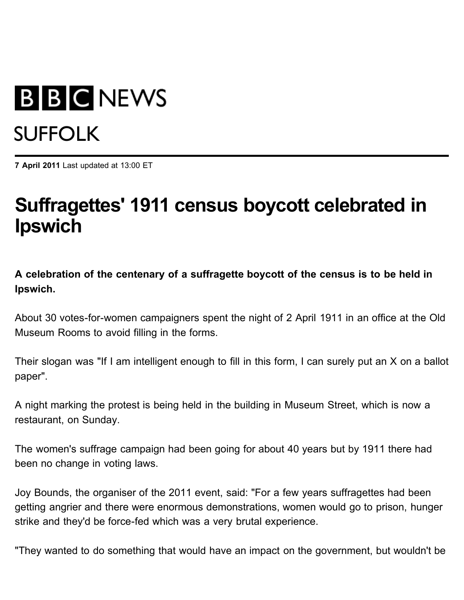## **B B C NEWS** SUFFOLK

**7 April 2011** Last updated at 13:00 ET

## **Suffragettes' 1911 census boycott celebrated in Ipswich**

**A celebration of the centenary of a suffragette boycott of the census is to be held in Ipswich.**

About 30 votes-for-women campaigners spent the night of 2 April 1911 in an office at the Old Museum Rooms to avoid filling in the forms.

Their slogan was "If I am intelligent enough to fill in this form, I can surely put an X on a ballot paper".

A night marking the protest is being held in the building in Museum Street, which is now a restaurant, on Sunday.

The women's suffrage campaign had been going for about 40 years but by 1911 there had been no change in voting laws.

Joy Bounds, the organiser of the 2011 event, said: "For a few years suffragettes had been getting angrier and there were enormous demonstrations, women would go to prison, hunger strike and they'd be force-fed which was a very brutal experience.

"They wanted to do something that would have an impact on the government, but wouldn't be